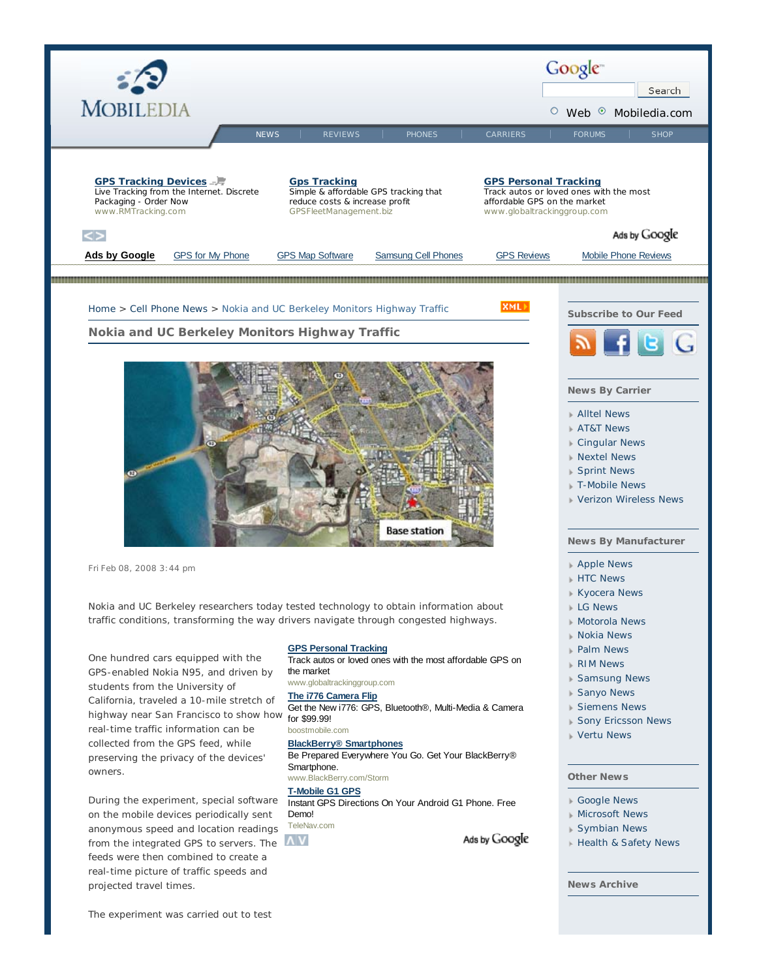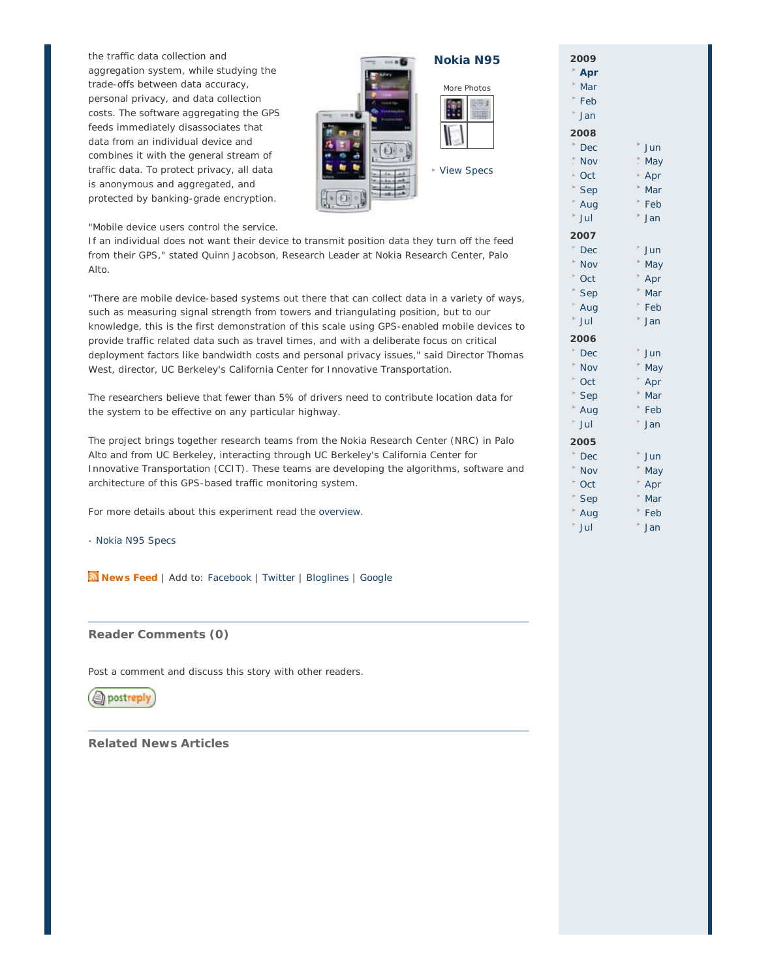the traffic data collection and aggregation system, while studying the trade-offs between data accuracy, personal privacy, and data collection costs. The software aggregating the GPS feeds immediately disassociates that data from an individual device and combines it with the general stream of traffic data. To protect privacy, all data is anonymous and aggregated, and protected by banking-grade encryption.



**Nokia N95**



View Specs

"Mobile device users control the service.

If an individual does not want their device to transmit position data they turn off the feed from their GPS," stated Quinn Jacobson, Research Leader at Nokia Research Center, Palo Alto.

"There are mobile device-based systems out there that can collect data in a variety of ways, such as measuring signal strength from towers and triangulating position, but to our knowledge, this is the first demonstration of this scale using GPS-enabled mobile devices to provide traffic related data such as travel times, and with a deliberate focus on critical deployment factors like bandwidth costs and personal privacy issues," said Director Thomas West, director, UC Berkeley's California Center for Innovative Transportation.

The researchers believe that fewer than 5% of drivers need to contribute location data for the system to be effective on any particular highway.

The project brings together research teams from the Nokia Research Center (NRC) in Palo Alto and from UC Berkeley, interacting through UC Berkeley's California Center for Innovative Transportation (CCIT). These teams are developing the algorithms, software and architecture of this GPS-based traffic monitoring system.

For more details about this experiment read the overview.

- Nokia N95 Specs

**News Feed** | Add to: Facebook | Twitter | Bloglines | Google

## **Reader Comments (0)**

Post a comment and discuss this story with other readers.

sh postreply

**Related News Articles**

| 009        |           |
|------------|-----------|
| Apr        |           |
| Mar        |           |
| Feb        |           |
| Jan        |           |
| 800        |           |
| <b>Dec</b> | Jun       |
| Nov        | May       |
| Oct        | i.<br>Apr |
| Sep        | þ.<br>Mar |
| Aug        | k<br>Feb  |
| Jul        | k<br>Jan  |
| 007        |           |
| Dec        | Jun       |
| Nov        | May       |
| Oct        | Apr       |
| Sep        | Mar       |
| Aug        | Feb       |
| Jul        | Jan       |
| 006        |           |
| Dec        | Jun       |
| Nov        | May       |
| Oct        | Apr       |
| Sep        | Mar       |
| Aug        | Feb       |
| Jul        | ŀ<br>Jan  |
| 005        |           |
| Dec        | Jun       |
| Nov        | May       |
| Oct        | Apr       |
| Sep        | Mar       |
| Aug        | Feb       |
| Jul        | ł<br>Jan  |

**2009**

**2008**

 $\mathbf{r}$ 

**2007**

**2006**

ł. þ.

**2005**

 $\overline{a}$